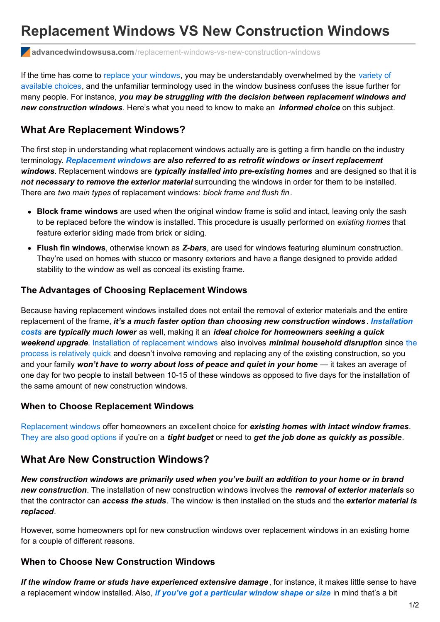# **Replacement Windows VS New Construction Windows**

**advancedwindowsusa.com**[/replacement-windows-vs-new-construction-windows](https://advancedwindowsusa.com/replacement-windows-vs-new-construction-windows)

If the time has come to replace your [windows](https://advancedwindowsusa.com/windows/best-utah-replacement-windows), you may be [understandably](https://advancedwindowsusa.com/windows) overwhelmed by the variety of available choices, and the unfamiliar terminology used in the window business confuses the issue further for many people. For instance, *you may be struggling with the decision between replacement windows and new construction windows*. Here's what you need to know to make an *informed choice* on this subject.

## **What Are Replacement Windows?**

The first step in understanding what replacement windows actually are is getting a firm handle on the industry terminology. *[Replacement](https://advancedwindowsusa.com/windows/best-utah-replacement-windows) windows are also referred to as retrofit windows or insert replacement windows*. Replacement windows are *typically installed into pre-existing homes* and are designed so that it is *not necessary to remove the exterior material* surrounding the windows in order for them to be installed. There are *two main types* of replacement windows: *block frame and flush fin*.

- **Block frame windows** are used when the original window frame is solid and intact, leaving only the sash to be replaced before the window is installed. This procedure is usually performed on *existing homes* that feature exterior siding made from brick or siding.
- **Flush fin windows**, otherwise known as *Z-bars*, are used for windows featuring aluminum construction. They're used on homes with stucco or masonry exteriors and have a flange designed to provide added stability to the window as well as conceal its existing frame.

## **The Advantages of Choosing Replacement Windows**

Because having replacement windows installed does not entail the removal of exterior materials and the entire replacement of the frame, *it's a much faster option than choosing new construction windows*. *Installation costs are typically much lower* as well, making it an *ideal choice for [homeowners](https://advancedwindowsusa.com/window-replacement-cost-worth-salt-lake-city-utah) seeking a quick weekend upgrade*. Installation of [replacement](https://advancedwindowsusa.com/windows/utah-window-replacement-installation) windows also involves *minimal household disruption* since the process is relatively quick and doesn't involve removing and replacing any of the existing [construction,](https://advancedwindowsusa.com/window-installation-process) so you and your family *won't have to worry about loss of peace and quiet in your home* — it takes an average of one day for two people to install between 10-15 of these windows as opposed to five days for the installation of the same amount of new construction windows.

#### **When to Choose Replacement Windows**

[Replacement](https://advancedwindowsusa.com/windows) windows offer homeowners an excellent choice for *existing homes with intact window frames*. They are also good [options](https://advancedwindowsusa.com/windows/utah-replacement-windows-time-replace-windows-utah) if you're on a *tight budget* or need to *get the job done as quickly as possible*.

## **What Are New Construction Windows?**

*New construction windows are primarily used when you've built an addition to your home or in brand new construction*. The installation of new construction windows involves the *removal of exterior materials* so that the contractor can *access the studs*. The window is then installed on the studs and the *exterior material is replaced*.

However, some homeowners opt for new construction windows over replacement windows in an existing home for a couple of different reasons.

## **When to Choose New Construction Windows**

*If the window frame or studs have experienced extensive damage*, for instance, it makes little sense to have a replacement window installed. Also, *if you've got a [particular](https://advancedwindowsusa.com/custom-shaped-windows) window shape or size* in mind that's a bit